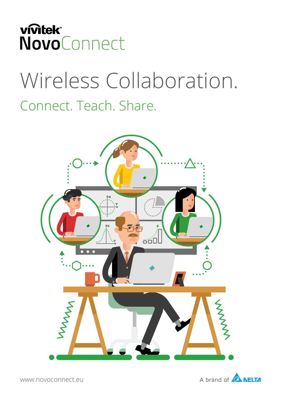

# Wireless Collaboration. Connect. Teach. Share.



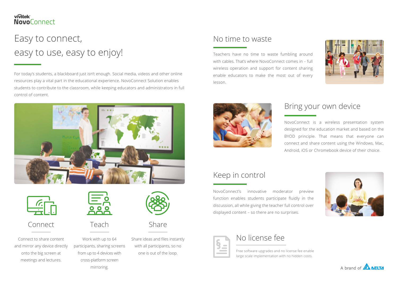### **vivitek NovoConnect**

# Easy to connect, easy to use, easy to enjoy!

For today's students, a blackboard just isn't enough. Social media, videos and other online resources play a vital part in the educational experience. NovoConnect Solution enables students to contribute to the classroom, while keeping educators and administrators in full control of content.





Connect to share content and mirror any device directly onto the big screen at meetings and lectures.



Work with up to 64 participants, sharing screens from up to 4 devices with cross-platform screen mirroring.



Connect Teach Share

with all participants, so no one is out of the loop.

## No time to waste

## Bring your own device

## Keep in control

Free software upgrades and no license fee enable large scale implementation with no hidden costs.



Teachers have no time to waste fumbling around with cables. That's where NovoConnect comes in – full wireless operation and support for content sharing enable educators to make the most out of every lesson.



NovoConnect is a wireless presentation system designed for the education market and based on the BYOD principle. That means that everyone can connect and share content using the Windows, Mac, Android, iOS or Chromebook device of their choice.





NovoConnect's innovative moderator preview function enables students participate fluidly in the discussion, all while giving the teacher full control over displayed content – so there are no surprises.



Share ideas and files instantly **No license fee**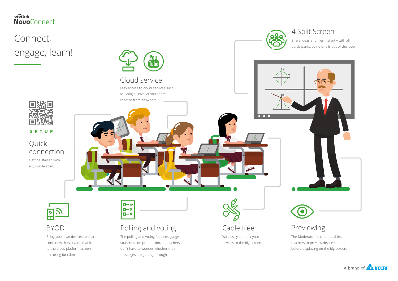Quick

SETUP

connection



mirroring function.

<u>ely</u>

## 4 Split Screen



Getting started with

a QR code scan.

### vivitek **NovoConnect**

# Connect, engage, learn!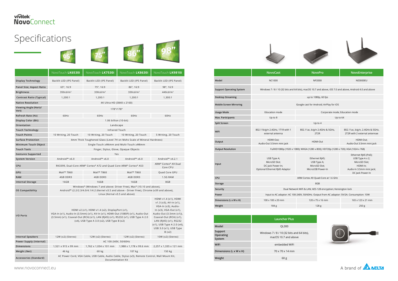|                                 | <b>NovoCast</b>                                                                                          | <b>NovoPro</b>                                                      | NovoEnterprise                                                                                                       |
|---------------------------------|----------------------------------------------------------------------------------------------------------|---------------------------------------------------------------------|----------------------------------------------------------------------------------------------------------------------|
| Model                           | <b>NC1000</b>                                                                                            | NP2000                                                              | <b>NE3000EU</b>                                                                                                      |
| <b>Support Operating System</b> | Windows 7 / 8 / 10 (32 bits and 64 bits), macOS 10.7 and above, iOS 7.0 and above, Android 4.0 and above |                                                                     |                                                                                                                      |
| <b>Desktop Streaming</b>        | up to 1080p, 60 fps                                                                                      |                                                                     |                                                                                                                      |
| <b>Mobile Screen Mirroring</b>  | Google cast for Android; AirPlay for iOS                                                                 |                                                                     |                                                                                                                      |
| <b>Usage Mode</b>               | <b>Education mode</b>                                                                                    | Corporate mode; Education mode                                      |                                                                                                                      |
| Max. Participants               | Up to 8<br>Up to 64                                                                                      |                                                                     |                                                                                                                      |
| Split Screen                    | Up to 4                                                                                                  |                                                                     |                                                                                                                      |
| <b>WiFi</b>                     | 802.11b/g/n 2.4GHz, 1T1R with 1<br>external antenna                                                      | 802.11ac, b/g/n 2.4GHz & 5GHz,<br>2T <sub>2</sub> R                 | 802.11ac, b/g/n, 2.4GHz & 5<br>2T2R with 2 external anteni                                                           |
| Output                          | HDMI-Out;<br>Audio-Out 3.5mm mini jack                                                                   | HDMI-Out                                                            | HDMI-Out;<br>Audio-Out 3.5mm mini ja                                                                                 |
| <b>Output Resolution</b>        | FullHD1080p (1920 x 1080); WXGA (1280 x 800); HD720p (1280 x 720); XGA (1024 x 768)                      |                                                                     |                                                                                                                      |
| Input                           | USB Type A;<br>MicroSD Slot;<br>DC Jack Power-In;<br>Optional Ethernet RJ45 Adaptor                      | Ethernet RJ45;<br>USB Type A;<br>MicroSD Slot;<br>MicroUSB Power-In | Ethernet RJ45 (PoE);<br>USB Type A x 2;<br>MicroSD Slot;<br>HDMI-In;<br>Audio-In 3.5mm mini jacl<br>DC Jack Power-In |
| CPU                             | ARM Cortex A9 Quad-Core at 1.6 GHz                                                                       |                                                                     |                                                                                                                      |
| <b>Storage</b>                  | 8GB                                                                                                      |                                                                     |                                                                                                                      |
| Security                        | Dual Network WiFi & LAN; AES-128 encryption; Kensington lock                                             |                                                                     |                                                                                                                      |
| Power                           | Input to AC adaptor: AC 100-240V, 50/60Hz. Output from AC adaptor: 5V/2A. Consumption: 10W               |                                                                     |                                                                                                                      |
| Dimensions (L x W x H)          | 100 x 100 x 20 mm                                                                                        | 120 x 75 x 16 mm                                                    | 165 x 123 x 21 mm                                                                                                    |
| Weight                          | 184 <sub>g</sub>                                                                                         | 128 <sub>g</sub>                                                    | 250 <sub>g</sub>                                                                                                     |



**Accessories (Standard)** AC Power Cord, VGA Cable, USB Cable, Audio Cable, Stylus (x3), Remote Control, Wall Mount Kit, Documentation Kit





0/g/n, 2.4GHz & 5GHz, .<br>2 external antennae

HDMI-Out; lut 3.5mm mini jack

 $54$  bits).

### vivitek **NovoConnect**



# Specifications











|                                | <b>Launcher Plus</b>                                      |
|--------------------------------|-----------------------------------------------------------|
| Model                          | QL300                                                     |
| Support<br>Operating<br>System | Windows 7 / 8 / 10 (32 bits and 6<br>macOS 10.7 and above |
| <b>WiFi</b>                    | embedded WiFi                                             |
| Dimensions (L x W x H)         | 70 x 70 x 14 mm                                           |
| Weight                         | 60 <sub>g</sub>                                           |